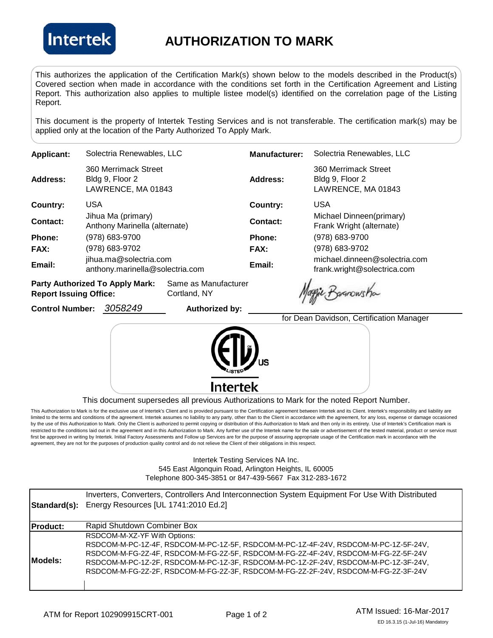

## **AUTHORIZATION TO MARK**

This authorizes the application of the Certification Mark(s) shown below to the models described in the Product(s) Covered section when made in accordance with the conditions set forth in the Certification Agreement and Listing Report. This authorization also applies to multiple listee model(s) identified on the correlation page of the Listing Report.

This document is the property of Intertek Testing Services and is not transferable. The certification mark(s) may be applied only at the location of the Party Authorized To Apply Mark.

| Applicant:  | Solectria Renewables, LLC                                     | <b>Manufacturer:</b> | Solectria Renewables, LLC                                     |
|-------------|---------------------------------------------------------------|----------------------|---------------------------------------------------------------|
| Address:    | 360 Merrimack Street<br>Bldg 9, Floor 2<br>LAWRENCE, MA 01843 | Address:             | 360 Merrimack Street<br>Bldg 9, Floor 2<br>LAWRENCE, MA 01843 |
| Country:    | USA                                                           | Country:             | <b>USA</b>                                                    |
| Contact:    | Jihua Ma (primary)<br>Anthony Marinella (alternate)           | Contact:             | Michael Dinneen(primary)<br>Frank Wright (alternate)          |
| Phone:      | (978) 683-9700                                                | Phone:               | (978) 683-9700                                                |
| <b>FAX:</b> | (978) 683-9702                                                | FAX:                 | (978) 683-9702                                                |
| Email:      | jihua.ma@solectria.com<br>anthony.marinella@solectria.com     | Email:               | michael.dinneen@solectria.com<br>frank.wright@solectrica.com  |
|             |                                                               |                      |                                                               |

**Party Authorized To Apply Mark:** Same as Manufacturer **Report Issuing Office:** Cortland, NY

**Control Number:** *3058249* **Authorized by:** 

aggie Basnowsha

for Dean Davidson, Certification Manager



This document supersedes all previous Authorizations to Mark for the noted Report Number.

This Authorization to Mark is for the exclusive use of Intertek's Client and is provided pursuant to the Certification agreement between Intertek and its Client. Intertek's responsibility and liability are limited to the terms and conditions of the agreement. Intertek assumes no liability to any party, other than to the Client in accordance with the agreement, for any loss, expense or damage occasioned by the use of this Authorization to Mark. Only the Client is authorized to permit copying or distribution of this Authorization to Mark and then only in its entirety. Use of Intertek's Certification mark is restricted to the conditions laid out in the agreement and in this Authorization to Mark. Any further use of the Intertek name for the sale or advertisement of the tested material, product or service must first be approved in writing by Intertek. Initial Factory Assessments and Follow up Services are for the purpose of assuring appropriate usage of the Certification mark in accordance with the agreement, they are not for the purposes of production quality control and do not relieve the Client of their obligations in this respect.

> Intertek Testing Services NA Inc. 545 East Algonquin Road, Arlington Heights, IL 60005 Telephone 800-345-3851 or 847-439-5667 Fax 312-283-1672

| Standard(s):    | Inverters, Converters, Controllers And Interconnection System Equipment For Use With Distributed<br>Energy Resources [UL 1741:2010 Ed.2]                                                                                                                                                                                                                                               |
|-----------------|----------------------------------------------------------------------------------------------------------------------------------------------------------------------------------------------------------------------------------------------------------------------------------------------------------------------------------------------------------------------------------------|
| <b>Product:</b> | Rapid Shutdown Combiner Box                                                                                                                                                                                                                                                                                                                                                            |
| Models:         | RSDCOM-M-XZ-YF With Options:<br>RSDCOM-M-PC-1Z-4F, RSDCOM-M-PC-1Z-5F, RSDCOM-M-PC-1Z-4F-24V, RSDCOM-M-PC-1Z-5F-24V,<br>RSDCOM-M-FG-2Z-4F, RSDCOM-M-FG-2Z-5F, RSDCOM-M-FG-2Z-4F-24V, RSDCOM-M-FG-2Z-5F-24V<br>RSDCOM-M-PC-1Z-2F, RSDCOM-M-PC-1Z-3F, RSDCOM-M-PC-1Z-2F-24V, RSDCOM-M-PC-1Z-3F-24V,<br>RSDCOM-M-FG-2Z-2F, RSDCOM-M-FG-2Z-3F, RSDCOM-M-FG-2Z-2F-24V, RSDCOM-M-FG-2Z-3F-24V |